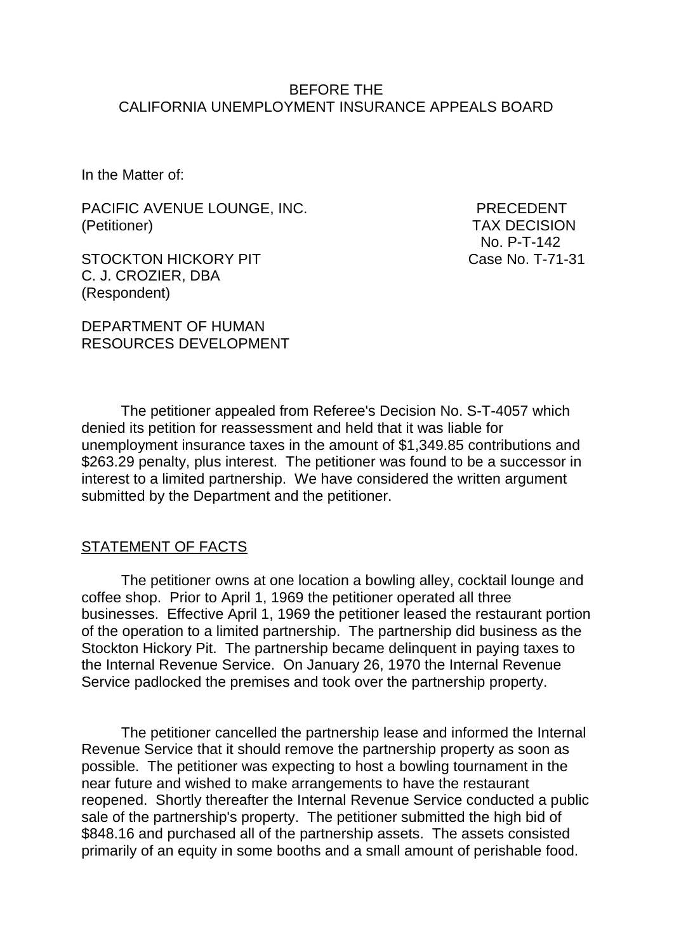### BEFORE THE CALIFORNIA UNEMPLOYMENT INSURANCE APPEALS BOARD

In the Matter of:

PACIFIC AVENUE LOUNGE, INC. PRECEDENT (Petitioner) TAX DECISION

STOCKTON HICKORY PIT Case No. T-71-31 C. J. CROZIER, DBA (Respondent)

No. P-T-142

DEPARTMENT OF HUMAN RESOURCES DEVELOPMENT

The petitioner appealed from Referee's Decision No. S-T-4057 which denied its petition for reassessment and held that it was liable for unemployment insurance taxes in the amount of \$1,349.85 contributions and \$263.29 penalty, plus interest. The petitioner was found to be a successor in interest to a limited partnership. We have considered the written argument submitted by the Department and the petitioner.

#### STATEMENT OF FACTS

The petitioner owns at one location a bowling alley, cocktail lounge and coffee shop. Prior to April 1, 1969 the petitioner operated all three businesses. Effective April 1, 1969 the petitioner leased the restaurant portion of the operation to a limited partnership. The partnership did business as the Stockton Hickory Pit. The partnership became delinquent in paying taxes to the Internal Revenue Service. On January 26, 1970 the Internal Revenue Service padlocked the premises and took over the partnership property.

The petitioner cancelled the partnership lease and informed the Internal Revenue Service that it should remove the partnership property as soon as possible. The petitioner was expecting to host a bowling tournament in the near future and wished to make arrangements to have the restaurant reopened. Shortly thereafter the Internal Revenue Service conducted a public sale of the partnership's property. The petitioner submitted the high bid of \$848.16 and purchased all of the partnership assets. The assets consisted primarily of an equity in some booths and a small amount of perishable food.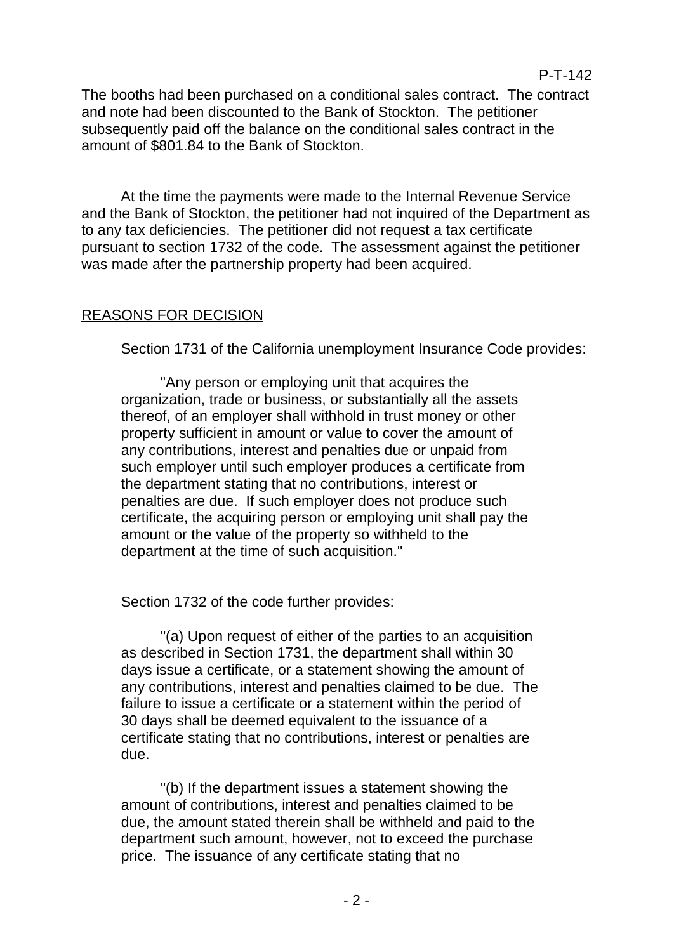The booths had been purchased on a conditional sales contract. The contract and note had been discounted to the Bank of Stockton. The petitioner subsequently paid off the balance on the conditional sales contract in the amount of \$801.84 to the Bank of Stockton.

P-T-142

At the time the payments were made to the Internal Revenue Service and the Bank of Stockton, the petitioner had not inquired of the Department as to any tax deficiencies. The petitioner did not request a tax certificate pursuant to section 1732 of the code. The assessment against the petitioner was made after the partnership property had been acquired.

## REASONS FOR DECISION

Section 1731 of the California unemployment Insurance Code provides:

"Any person or employing unit that acquires the organization, trade or business, or substantially all the assets thereof, of an employer shall withhold in trust money or other property sufficient in amount or value to cover the amount of any contributions, interest and penalties due or unpaid from such employer until such employer produces a certificate from the department stating that no contributions, interest or penalties are due. If such employer does not produce such certificate, the acquiring person or employing unit shall pay the amount or the value of the property so withheld to the department at the time of such acquisition."

Section 1732 of the code further provides:

"(a) Upon request of either of the parties to an acquisition as described in Section 1731, the department shall within 30 days issue a certificate, or a statement showing the amount of any contributions, interest and penalties claimed to be due. The failure to issue a certificate or a statement within the period of 30 days shall be deemed equivalent to the issuance of a certificate stating that no contributions, interest or penalties are due.

"(b) If the department issues a statement showing the amount of contributions, interest and penalties claimed to be due, the amount stated therein shall be withheld and paid to the department such amount, however, not to exceed the purchase price. The issuance of any certificate stating that no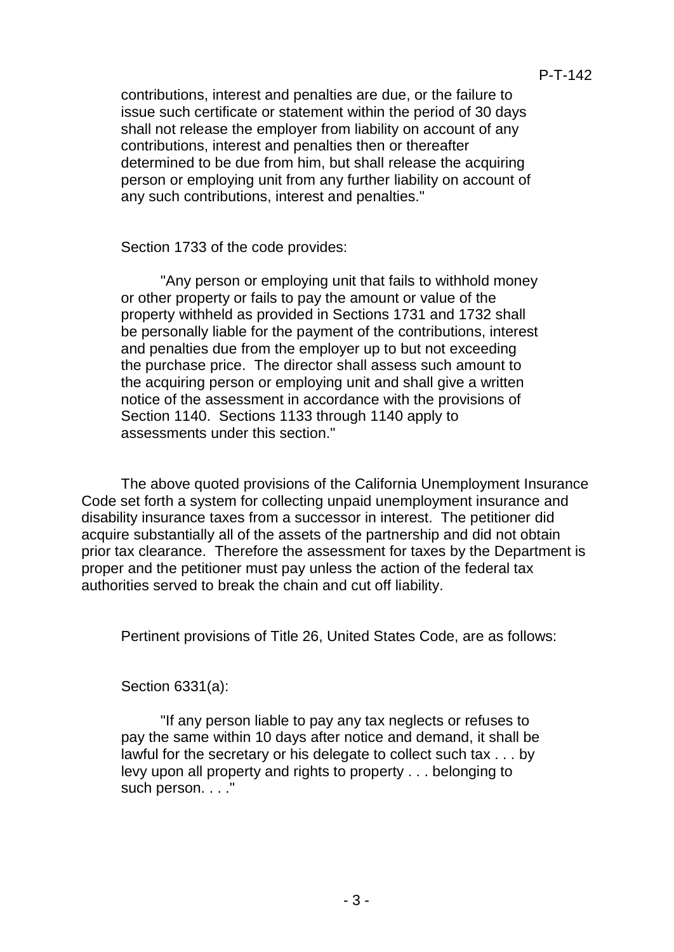contributions, interest and penalties are due, or the failure to issue such certificate or statement within the period of 30 days shall not release the employer from liability on account of any contributions, interest and penalties then or thereafter determined to be due from him, but shall release the acquiring person or employing unit from any further liability on account of any such contributions, interest and penalties."

Section 1733 of the code provides:

"Any person or employing unit that fails to withhold money or other property or fails to pay the amount or value of the property withheld as provided in Sections 1731 and 1732 shall be personally liable for the payment of the contributions, interest and penalties due from the employer up to but not exceeding the purchase price. The director shall assess such amount to the acquiring person or employing unit and shall give a written notice of the assessment in accordance with the provisions of Section 1140. Sections 1133 through 1140 apply to assessments under this section."

The above quoted provisions of the California Unemployment Insurance Code set forth a system for collecting unpaid unemployment insurance and disability insurance taxes from a successor in interest. The petitioner did acquire substantially all of the assets of the partnership and did not obtain prior tax clearance. Therefore the assessment for taxes by the Department is proper and the petitioner must pay unless the action of the federal tax authorities served to break the chain and cut off liability.

Pertinent provisions of Title 26, United States Code, are as follows:

Section 6331(a):

"If any person liable to pay any tax neglects or refuses to pay the same within 10 days after notice and demand, it shall be lawful for the secretary or his delegate to collect such tax . . . by levy upon all property and rights to property . . . belonging to such person. . . ."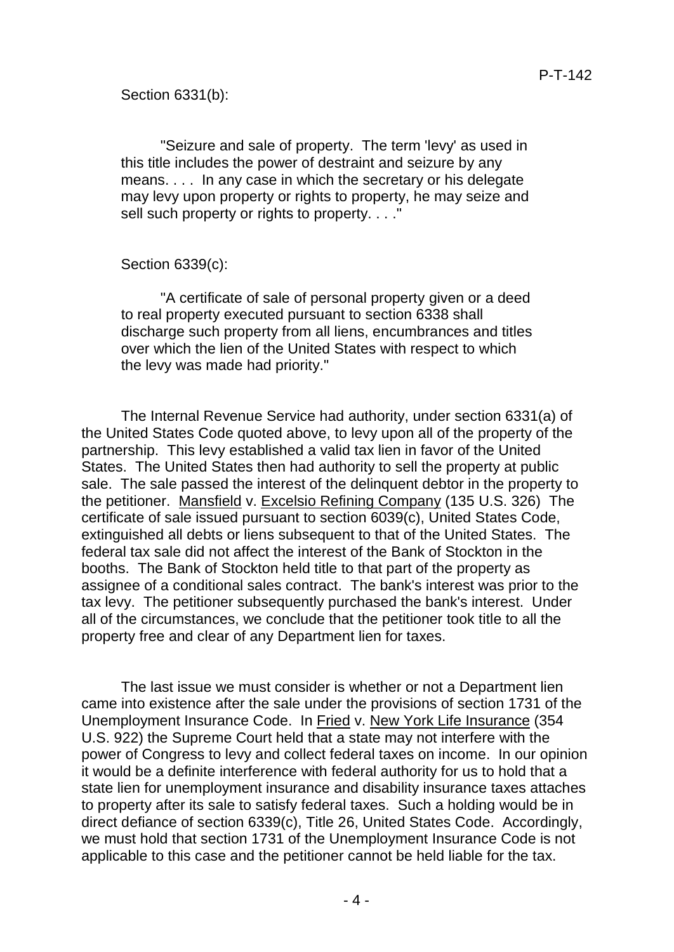Section 6331(b):

"Seizure and sale of property. The term 'levy' as used in this title includes the power of destraint and seizure by any means. . . . In any case in which the secretary or his delegate may levy upon property or rights to property, he may seize and sell such property or rights to property. . . ."

## Section 6339(c):

"A certificate of sale of personal property given or a deed to real property executed pursuant to section 6338 shall discharge such property from all liens, encumbrances and titles over which the lien of the United States with respect to which the levy was made had priority."

The Internal Revenue Service had authority, under section 6331(a) of the United States Code quoted above, to levy upon all of the property of the partnership. This levy established a valid tax lien in favor of the United States. The United States then had authority to sell the property at public sale. The sale passed the interest of the delinquent debtor in the property to the petitioner. Mansfield v. Excelsio Refining Company (135 U.S. 326) The certificate of sale issued pursuant to section 6039(c), United States Code, extinguished all debts or liens subsequent to that of the United States. The federal tax sale did not affect the interest of the Bank of Stockton in the booths. The Bank of Stockton held title to that part of the property as assignee of a conditional sales contract. The bank's interest was prior to the tax levy. The petitioner subsequently purchased the bank's interest. Under all of the circumstances, we conclude that the petitioner took title to all the property free and clear of any Department lien for taxes.

The last issue we must consider is whether or not a Department lien came into existence after the sale under the provisions of section 1731 of the Unemployment Insurance Code. In Fried v. New York Life Insurance (354 U.S. 922) the Supreme Court held that a state may not interfere with the power of Congress to levy and collect federal taxes on income. In our opinion it would be a definite interference with federal authority for us to hold that a state lien for unemployment insurance and disability insurance taxes attaches to property after its sale to satisfy federal taxes. Such a holding would be in direct defiance of section 6339(c), Title 26, United States Code. Accordingly, we must hold that section 1731 of the Unemployment Insurance Code is not applicable to this case and the petitioner cannot be held liable for the tax.